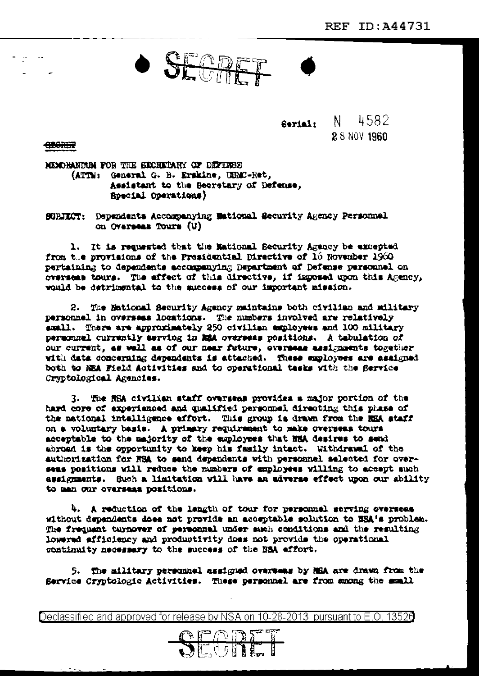SECTIFF

**Serial:** N 4582 2.8 NOV 1960

**CLORER** 

MEMORANTEM FOR THE EXCRETARY OF DEFENSE (ATTN: General G. B. Erskine, USMC-Ret, Assistant to the Secretary of Defense, **Special Operations)** 

SURIECT: Dependents Accompanying Mational Security Agency Personnel on Overseas Tours (U)

1. It is requested that the Mational Security Agency be excepted from the provisions of the Presidential Directive of 16 November 1960 pertaining to dependents accompanying Department of Defense personnel on overseas tours. The affect of this directive, if imposed upon this Agency, would be detrimental to the success of our important mission.

2. The Mational Security Agency maintains both civilian and military personnel in oversees locations. The numbers involved are relatively small. There are approximately 250 civilian employees and 100 military personnel currently serving in MRA overseas positions. A tabulation of our current, as well as of our near future, overseas assignments together with data concerning dependents is attached. These employees are assigned both to NEA Field Activities and to operational tasks with the Service Cryptological Agencies.

3. The NSA civilian staff overseas provides a major portion of the hard core of experienced and qualified personnel directing this phase of the national intelligence effort. This group is drawn from the REA staff on a voluntary basis. A primary requirement to make overseas tours acceptable to the majority of the employees that HSA desires to send abroad is the opportunity to keep his family intact. Withdrawal of the authorization for NSA to send dependents with personnel selected for overseas positions will reduce the numbers of employees willing to accept auch assignments. Such a limitation will have an adverse effect upon our ability to man our overseas positions.

4. A reduction of the langth of tour for personnel serving overseas without dependents does not provide an acceptable solution to EEA's problem. The frequent turnover of personnel under much conditions and the resulting lowered efficiency and productivity does not provide the operational continuity necessary to the success of the BBA effort.

5. The military personnel assigned overseas by NHA are drawn from the Service Cryptologic Activities. These personnel are from among the small

Declassified and approved for release by NSA on 10-28-2013 pursuant to E.O. 13526

SEGRET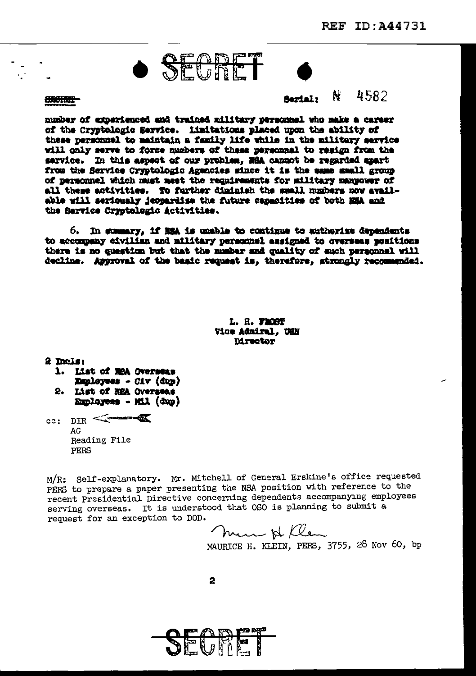# · SEGRET

**COORDER** 

N 4582 **Serial**>

number of experienced and trained military personnel who make a career of the Cryptologic Service. Limitations placed upon the ability of these personnel to maintain a family life while in the military service will only serve to force numbers of these personnel to resign from the service. In this aspect of our problem. With cannot be regarded apart from the Service Cryptologic Agencies since it is the same small group of personnel which must meet the requirements for military manpower of all these activities. To further diminish the small numbers now available will seriously ieopardise the future capacities of both EEA and the Service Cryptologic Activities.

6. In summary, if has is unable to continue to authorize dependents to accompany eivilian and military personnel assigned to overseas positions there is no question but that the number and quality of such personnel will decline. Approval of the basic request is, therefore, strongly recommended.

> L. H. FROST Vice Admiral. USN **Mrector**

2 Incls:

- 1. List of MSA Overseas **Danleyees - Civ (dup)** 2. List of REA Overseas
- Employees Mil (dup)

cc:  $DIR \leq$  $AG$ Reading File PERS

M/R: Self-explanatory. Mr. Mitchell of General Erskine's office requested PERS to prepare a paper presenting the NSA position with reference to the recent Presidential Directive concerning dependents accompanying employees serving overseas. It is understood that OSO is planning to submit a request for an exception to DOD.

men & flen

MAURICE H. KLEIN, PERS, 3755, 28 Nov 60, bp

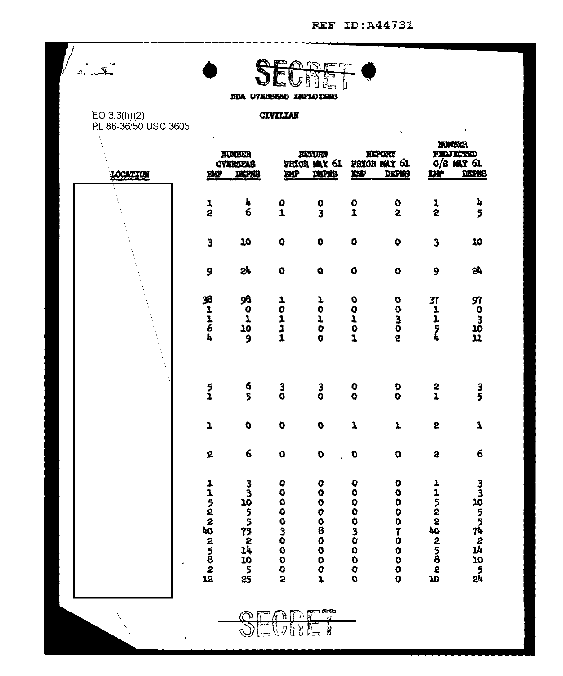|                                      |               | NEA OVARBAN ENFLOYANS             |                     |                                                                         |                                  |                                                     |                           |                                                          |  |
|--------------------------------------|---------------|-----------------------------------|---------------------|-------------------------------------------------------------------------|----------------------------------|-----------------------------------------------------|---------------------------|----------------------------------------------------------|--|
| EO 3.3(h)(2)<br>PL 86-36/50 USC 3605 |               |                                   | CIVILIAN            |                                                                         |                                  |                                                     |                           |                                                          |  |
| LOCATION                             | <b>BG</b>     | NUCKR<br><b>OVERSEAS</b><br>DEPAB |                     | 决策权权<br><b>PRICE MAY GL</b><br><b>DP</b><br><b>DEPRE</b>                |                                  | <b>HEPORT</b><br>PRIOR MAY 61<br>DEPER<br><b>DP</b> |                           | <b>NUCKR</b><br>PROJECTED<br>$0/8$ MAY 61<br>DEPRS<br>DQ |  |
|                                      | $\frac{1}{2}$ | 4<br>6                            | $\frac{0}{1}$       | $\frac{0}{3}$                                                           | $\frac{0}{1}$                    | $\frac{8}{2}$                                       | $\frac{1}{2}$             | þ<br>5                                                   |  |
|                                      | 3             | 10                                | $\bullet$           | $\bullet$                                                               | $\ddot{\mathbf{0}}$              | $\bullet$                                           | $\mathbf{3}^{\mathsf{T}}$ | 10                                                       |  |
|                                      | 9             | 57                                | $\bullet$           | $\bullet$                                                               | $\boldsymbol{Q}$                 | $\bullet$                                           | 9                         | 24                                                       |  |
|                                      |               | <b>89999</b>                      | 10111               | ļ,<br>$\begin{array}{c} 0 \\ L \\ 0 \end{array}$<br>$\ddot{\mathbf{O}}$ | 00101                            | 00300                                               | <b>アーエラム</b>              | <b>SP 03の11</b>                                          |  |
|                                      | $\frac{5}{1}$ | 6<br>S                            | $\frac{3}{9}$       | $\frac{3}{9}$                                                           | $\bullet$<br>$\ddot{\mathbf{Q}}$ | Đ<br>Ö                                              | $\frac{2}{1}$             | 3<br>5                                                   |  |
|                                      | $\mathbf{L}$  | $\pmb{\mathsf{O}}$                | $\bullet$           | $\ddot{\mathbf{0}}$                                                     | $\mathbf 1$                      | $\pmb{\lambda}$                                     | 5                         | $\mathbf{I}$                                             |  |
|                                      | 2             | 6                                 | $\mathbf 0$         | $\mathbf 0$                                                             | $\bullet$                        | $\pmb{\mathsf{Q}}$                                  | $\bullet$                 | 6                                                        |  |
|                                      | Lisaan Engan  | るる ねっちゃれぬち                        | 1000000000          | 00000800002                                                             | ,,,,,,,,,,,,,                    | 00000700000                                         | <b>Subungunant</b>        | 331055件8站205站                                            |  |
| X                                    |               | $\mathbb{F}^m$<br>لريسي           | $\sqrt{2}$<br>্রি এ | معنع ديگا<br>اب<br>Ъ                                                    |                                  |                                                     |                           |                                                          |  |

 $Q$ ) LU VIII L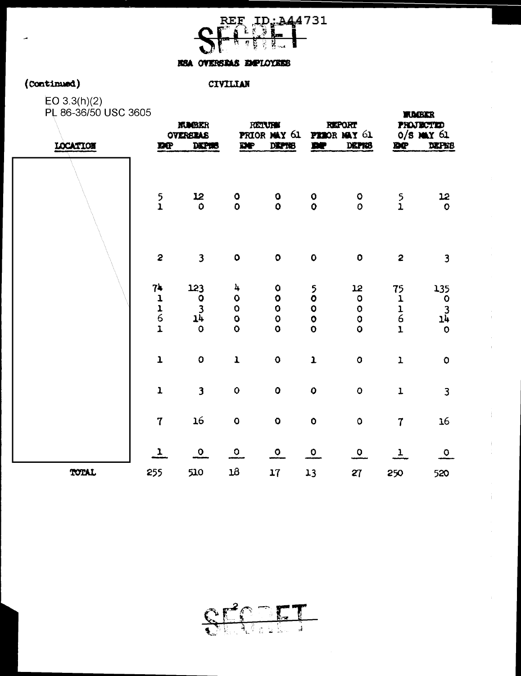

**WIDGEKR** 

#### KSA OVERSRAS EMPLOYEES

### ( **COntinued)**

#### CIVILIAN

EO 3.3(h)(2) PL 86-36/50 USC 3605

| LOCATION | <b>NUCER</b><br><b>OVEREIAS</b><br><b>DEPHS</b><br><b>DC</b> |                                                     | <b>RETURN</b><br>PRIOR MAY 61<br>DP<br>DEPTIB            |                                                                    | <b>REPORT</b><br><b>PEROR MAY 61</b><br>DEPRIS<br>DP   |                                                                          | <b>PROJECTIO</b><br>$0/8$ May $61$<br>DEPES<br><b>DP</b> |                                                  |
|----------|--------------------------------------------------------------|-----------------------------------------------------|----------------------------------------------------------|--------------------------------------------------------------------|--------------------------------------------------------|--------------------------------------------------------------------------|----------------------------------------------------------|--------------------------------------------------|
|          | $\frac{5}{1}$                                                | 12<br>$\circ$                                       | $\mathbf 0$<br>$\bullet$                                 | $\mathbf 0$<br>$\mathbf{o}$                                        | $\mathbf{o}$<br>$\ddot{\mathbf{O}}$                    | $\mathbf 0$<br>$\mathbf{o}$                                              | $\frac{5}{1}$                                            | 12<br>$\circ$                                    |
|          | $\overline{c}$                                               | $\overline{\mathbf{3}}$                             | $\mathbf 0$                                              | $\bullet$                                                          | $\pmb{\mathsf{O}}$                                     | $\bullet$                                                                | $\overline{\mathbf{c}}$                                  | $\overline{\mathbf{3}}$                          |
|          | 74<br>$1116$<br>$1$                                          | 123<br>$\mathbf 0$<br>$\frac{3}{14}$<br>$\mathbf 0$ | 4<br>$\mathbf 0$<br>$\circ$<br>$\bullet$<br>$\mathbf{o}$ | $\mathbf 0$<br>$\bullet$<br>$\bullet$<br>$\mathbf{o}$<br>$\bullet$ | $\frac{5}{0}$<br>$\bullet$<br>$\bullet$<br>$\mathbf 0$ | 12<br>$\circ$<br>$\ddot{\mathbf{o}}$<br>$\bullet$<br>$\ddot{\mathbf{o}}$ | 75<br>$\mathbf 1$<br>$\frac{1}{6}$<br>$\mathbf{I}$       | 135<br>$\mathbf 0$<br>$1^{3}_{4}$<br>$\mathbf 0$ |
|          | $\mathbf{1}$                                                 | $\mathbf 0$                                         | $\mathbf{I}$                                             | $\mathbf{o}$                                                       | $\mathbf{1}$                                           | $\circ$                                                                  | $\mathbf 1$                                              | $\pmb{\mathsf{O}}$                               |
|          | $\mathbf 1$                                                  | $\overline{\mathbf{3}}$                             | $\mathbf{o}$                                             | $\mathbf 0$                                                        | $\mathbf{o}$                                           | $\mathbf 0$                                                              | $\mathbf{I}$                                             | 3                                                |
|          | $\mathbf 7$                                                  | 16                                                  | $\mathbf 0$                                              | $\mathbf 0$                                                        | $\mathbf 0$                                            | $\mathsf{o}$                                                             | $\overline{7}$                                           | 16                                               |
|          | 1                                                            | $\Omega$                                            | $\Omega$                                                 | $\circ$                                                            | $\bullet$                                              | $\mathsf{o}$                                                             | $\mathbf{I}$                                             | $\mathbf{o}$                                     |
| TOTAL    | 255                                                          | 510                                                 | $18\,$                                                   | 17                                                                 | 13                                                     | 27                                                                       | 250                                                      | 520                                              |